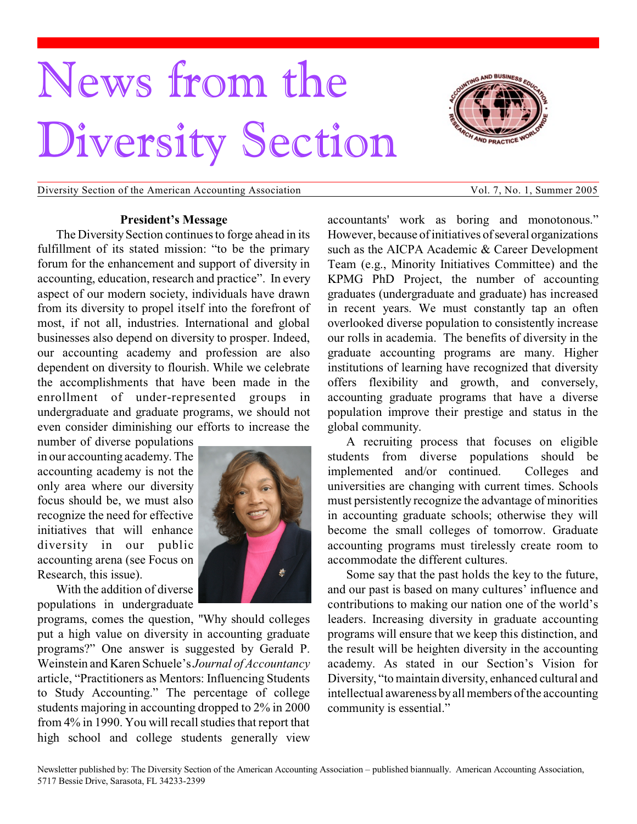# News from the Diversity Section



Diversity Section of the American Accounting Association Vol. 7, No. 1, Summer 2005

#### **President's Message**

The Diversity Section continues to forge ahead in its fulfillment of its stated mission: "to be the primary forum for the enhancement and support of diversity in accounting, education, research and practice". In every aspect of our modern society, individuals have drawn from its diversity to propel itself into the forefront of most, if not all, industries. International and global businesses also depend on diversity to prosper. Indeed, our accounting academy and profession are also dependent on diversity to flourish. While we celebrate the accomplishments that have been made in the enrollment of under-represented groups in undergraduate and graduate programs, we should not even consider diminishing our efforts to increase the

number of diverse populations in our accounting academy. The accounting academy is not the only area where our diversity focus should be, we must also recognize the need for effective initiatives that will enhance diversity in our public accounting arena (see Focus on Research, this issue).

With the addition of diverse populations in undergraduate



programs, comes the question, "Why should colleges put a high value on diversity in accounting graduate programs?" One answer is suggested by Gerald P. Weinstein and Karen Schuele's *Journal of Accountancy* article, "Practitioners as Mentors: Influencing Students to Study Accounting." The percentage of college students majoring in accounting dropped to 2% in 2000 from 4% in 1990. You will recall studies that report that high school and college students generally view

accountants' work as boring and monotonous." However, because of initiatives of several organizations such as the AICPA Academic & Career Development Team (e.g., Minority Initiatives Committee) and the KPMG PhD Project, the number of accounting graduates (undergraduate and graduate) has increased in recent years. We must constantly tap an often overlooked diverse population to consistently increase our rolls in academia. The benefits of diversity in the graduate accounting programs are many. Higher institutions of learning have recognized that diversity offers flexibility and growth, and conversely, accounting graduate programs that have a diverse population improve their prestige and status in the global community.

A recruiting process that focuses on eligible students from diverse populations should be implemented and/or continued. Colleges and universities are changing with current times. Schools must persistently recognize the advantage of minorities in accounting graduate schools; otherwise they will become the small colleges of tomorrow. Graduate accounting programs must tirelessly create room to accommodate the different cultures.

Some say that the past holds the key to the future, and our past is based on many cultures' influence and contributions to making our nation one of the world's leaders. Increasing diversity in graduate accounting programs will ensure that we keep this distinction, and the result will be heighten diversity in the accounting academy. As stated in our Section's Vision for Diversity, "to maintain diversity, enhanced cultural and intellectual awareness by all members of the accounting community is essential."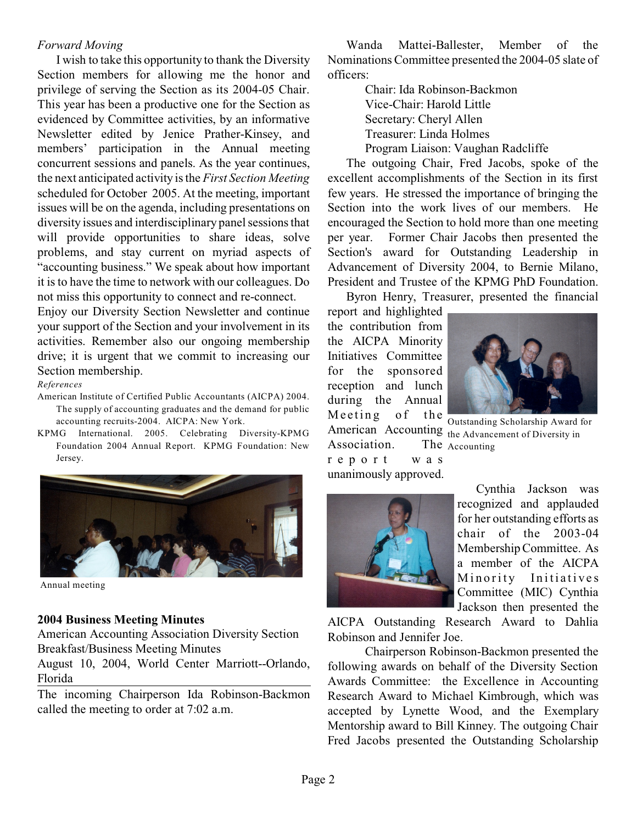#### *Forward Moving*

I wish to take this opportunity to thank the Diversity Section members for allowing me the honor and privilege of serving the Section as its 2004-05 Chair. This year has been a productive one for the Section as evidenced by Committee activities, by an informative Newsletter edited by Jenice Prather-Kinsey, and members' participation in the Annual meeting concurrent sessions and panels. As the year continues, the next anticipated activity is the *First Section Meeting* scheduled for October 2005. At the meeting, important issues will be on the agenda, including presentations on diversity issues and interdisciplinary panel sessions that will provide opportunities to share ideas, solve problems, and stay current on myriad aspects of "accounting business." We speak about how important it is to have the time to network with our colleagues. Do not miss this opportunity to connect and re-connect.

Enjoy our Diversity Section Newsletter and continue your support of the Section and your involvement in its activities. Remember also our ongoing membership drive; it is urgent that we commit to increasing our Section membership.

#### *References*

- American Institute of Certified Public Accountants (AICPA) 2004. The supply of accounting graduates and the demand for public accounting recruits-2004. AICPA: New York.
- KPMG International. 2005. Celebrating Diversity-KPMG Foundation 2004 Annual Report. KPMG Foundation: New Jersey.



Annual meeting

### **2004 Business Meeting Minutes**

American Accounting Association Diversity Section Breakfast/Business Meeting Minutes

August 10, 2004, World Center Marriott--Orlando, Florida

The incoming Chairperson Ida Robinson-Backmon called the meeting to order at 7:02 a.m.

Wanda Mattei-Ballester, Member of the Nominations Committee presented the 2004-05 slate of officers:

> Chair: Ida Robinson-Backmon Vice-Chair: Harold Little Secretary: Cheryl Allen Treasurer: Linda Holmes Program Liaison: Vaughan Radcliffe

The outgoing Chair, Fred Jacobs, spoke of the excellent accomplishments of the Section in its first few years. He stressed the importance of bringing the Section into the work lives of our members. He encouraged the Section to hold more than one meeting per year. Former Chair Jacobs then presented the Section's award for Outstanding Leadership in Advancement of Diversity 2004, to Bernie Milano, President and Trustee of the KPMG PhD Foundation.

Byron Henry, Treasurer, presented the financial

report and highlighted the contribution from the AICPA Minority Initiatives Committee for the sponsored reception and lunch during the Annual Meeting of the Association. r e p o r t w a s unanimously approved.



Outstanding Scholarship Award for American Accounting the Advancement of Diversity in The Accounting

Cynthia Jackson was recognized and applauded for her outstanding efforts as chair of the 2003-04 Membership Committee. As a member of the AICPA Minority Initiatives Committee (MIC) Cynthia Jackson then presented the

AICPA Outstanding Research Award to Dahlia Robinson and Jennifer Joe.

Chairperson Robinson-Backmon presented the following awards on behalf of the Diversity Section Awards Committee: the Excellence in Accounting Research Award to Michael Kimbrough, which was accepted by Lynette Wood, and the Exemplary Mentorship award to Bill Kinney. The outgoing Chair Fred Jacobs presented the Outstanding Scholarship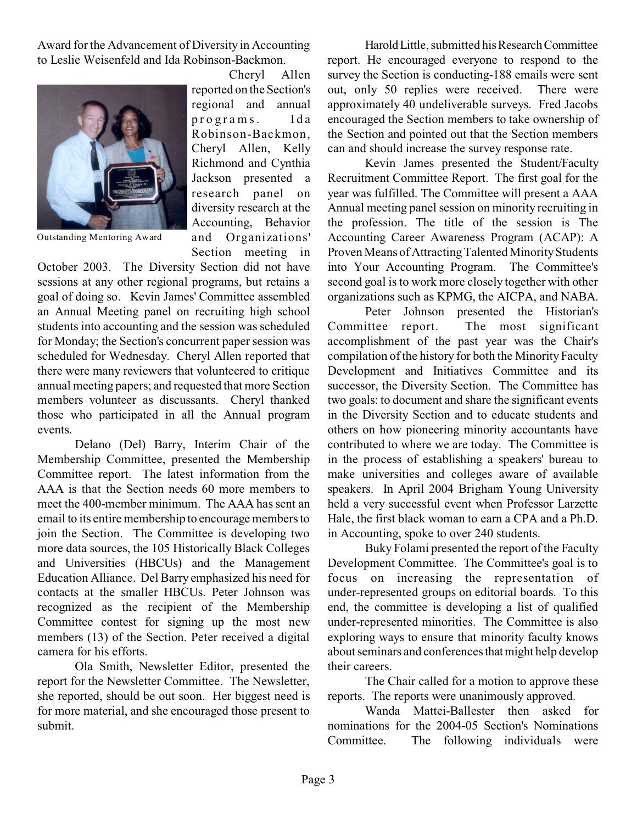Award for the Advancement of Diversity in Accounting to Leslie Weisenfeld and Ida Robinson-Backmon.



Outstanding Mentoring Award

Cheryl Allen reported on the Section's regional and annual programs. Ida Robinson-Backmon, Cheryl Allen, Kelly Richmond and Cynthia Jackson presented a research panel on diversity research at the Accounting, Behavior and Organizations' Section meeting in

October 2003. The Diversity Section did not have sessions at any other regional programs, but retains a goal of doing so. Kevin James' Committee assembled an Annual Meeting panel on recruiting high school students into accounting and the session was scheduled for Monday; the Section's concurrent paper session was scheduled for Wednesday. Cheryl Allen reported that there were many reviewers that volunteered to critique annual meeting papers; and requested that more Section members volunteer as discussants. Cheryl thanked those who participated in all the Annual program events.

Delano (Del) Barry, Interim Chair of the Membership Committee, presented the Membership Committee report. The latest information from the AAA is that the Section needs 60 more members to meet the 400-member minimum. The AAA has sent an email to its entire membership to encourage members to join the Section. The Committee is developing two more data sources, the 105 Historically Black Colleges and Universities (HBCUs) and the Management Education Alliance. Del Barry emphasized his need for contacts at the smaller HBCUs. Peter Johnson was recognized as the recipient of the Membership Committee contest for signing up the most new members (13) of the Section. Peter received a digital camera for his efforts.

Ola Smith, Newsletter Editor, presented the report for the Newsletter Committee. The Newsletter, she reported, should be out soon. Her biggest need is for more material, and she encouraged those present to submit.

Harold Little, submitted his Research Committee report. He encouraged everyone to respond to the survey the Section is conducting-188 emails were sent out, only 50 replies were received. There were approximately 40 undeliverable surveys. Fred Jacobs encouraged the Section members to take ownership of the Section and pointed out that the Section members can and should increase the survey response rate.

Kevin James presented the Student/Faculty Recruitment Committee Report. The first goal for the year was fulfilled. The Committee will present a AAA Annual meeting panel session on minority recruiting in the profession. The title of the session is The Accounting Career Awareness Program (ACAP): A Proven Means of Attracting Talented Minority Students into Your Accounting Program. The Committee's second goal isto work more closely together with other organizations such as KPMG, the AICPA, and NABA.

Peter Johnson presented the Historian's Committee report. The most significant accomplishment of the past year was the Chair's compilation ofthe history for both the Minority Faculty Development and Initiatives Committee and its successor, the Diversity Section. The Committee has two goals: to document and share the significant events in the Diversity Section and to educate students and others on how pioneering minority accountants have contributed to where we are today. The Committee is in the process of establishing a speakers' bureau to make universities and colleges aware of available speakers. In April 2004 Brigham Young University held a very successful event when Professor Larzette Hale, the first black woman to earn a CPA and a Ph.D. in Accounting, spoke to over 240 students.

Buky Folami presented the report of the Faculty Development Committee. The Committee's goal is to focus on increasing the representation of under-represented groups on editorial boards. To this end, the committee is developing a list of qualified under-represented minorities. The Committee is also exploring ways to ensure that minority faculty knows about seminars and conferences that might help develop their careers.

The Chair called for a motion to approve these reports. The reports were unanimously approved.

Wanda Mattei-Ballester then asked for nominations for the 2004-05 Section's Nominations Committee. The following individuals were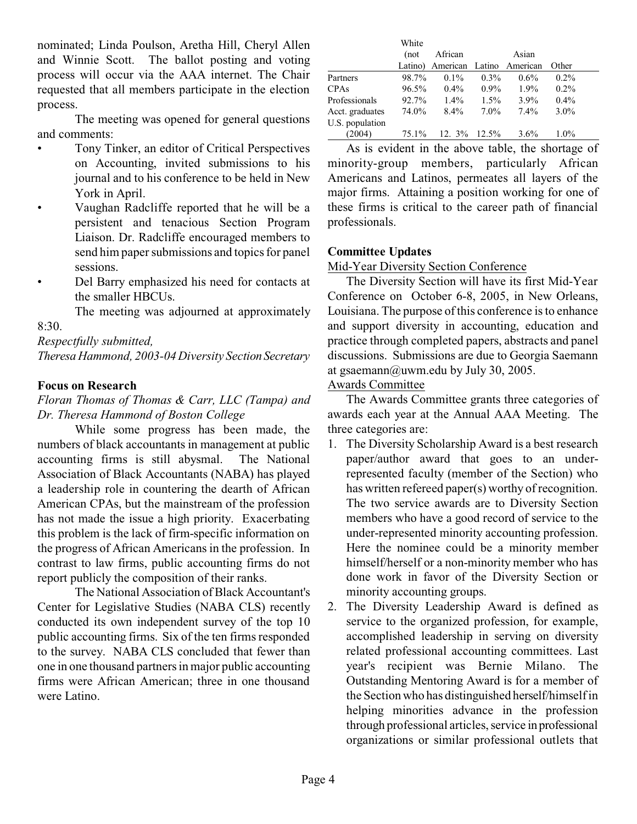nominated; Linda Poulson, Aretha Hill, Cheryl Allen and Winnie Scott. The ballot posting and voting process will occur via the AAA internet. The Chair requested that all members participate in the election process.

The meeting was opened for general questions and comments:

- Tony Tinker, an editor of Critical Perspectives on Accounting, invited submissions to his journal and to his conference to be held in New York in April.
- Vaughan Radcliffe reported that he will be a persistent and tenacious Section Program Liaison. Dr. Radcliffe encouraged members to send him paper submissions and topics for panel sessions.
- Del Barry emphasized his need for contacts at the smaller HBCUs.

The meeting was adjourned at approximately 8:30.

*Respectfully submitted,*

*Theresa Hammond, 2003-04 Diversity Section Secretary*

## **Focus on Research**

*Floran Thomas of Thomas & Carr, LLC (Tampa) and Dr. Theresa Hammond of Boston College*

While some progress has been made, the numbers of black accountants in management at public accounting firms is still abysmal. The National Association of Black Accountants (NABA) has played a leadership role in countering the dearth of African American CPAs, but the mainstream of the profession has not made the issue a high priority. Exacerbating this problem is the lack of firm-specific information on the progress of African Americans in the profession. In contrast to law firms, public accounting firms do not report publicly the composition of their ranks.

The National Association of Black Accountant's Center for Legislative Studies (NABA CLS) recently conducted its own independent survey of the top 10 public accounting firms. Six of the ten firms responded to the survey. NABA CLS concluded that fewer than one in one thousand partners in major public accounting firms were African American; three in one thousand were Latino.

|                 | White    |                                  |         |         |         |
|-----------------|----------|----------------------------------|---------|---------|---------|
|                 | (not     | African                          |         | Asian   |         |
|                 |          | Latino) American Latino American |         |         | Other   |
| Partners        | 98.7%    | $0.1\%$                          | $0.3\%$ | $0.6\%$ | $0.2\%$ |
| <b>CPAs</b>     | $96.5\%$ | $0.4\%$                          | $0.9\%$ | $1.9\%$ | $0.2\%$ |
| Professionals   | 92.7%    | $1.4\%$                          | $1.5\%$ | $3.9\%$ | $0.4\%$ |
| Acct. graduates | 74.0%    | $8.4\%$                          | $7.0\%$ | $7.4\%$ | $3.0\%$ |
| U.S. population |          |                                  |         |         |         |
| (2004)          | 75.1%    | 12. $3\%$ 12.5%                  |         | $3.6\%$ | $1.0\%$ |

As is evident in the above table, the shortage of minority-group members, particularly African Americans and Latinos, permeates all layers of the major firms. Attaining a position working for one of these firms is critical to the career path of financial professionals.

#### **Committee Updates**

Mid-Year Diversity Section Conference

The Diversity Section will have its first Mid-Year Conference on October 6-8, 2005, in New Orleans, Louisiana. The purpose of this conference is to enhance and support diversity in accounting, education and practice through completed papers, abstracts and panel discussions. Submissions are due to Georgia Saemann at gsaemann@uwm.edu by July 30, 2005.

#### Awards Committee

The Awards Committee grants three categories of awards each year at the Annual AAA Meeting. The three categories are:

- 1. The Diversity Scholarship Award is a best research paper/author award that goes to an underrepresented faculty (member of the Section) who has written refereed paper(s) worthy of recognition. The two service awards are to Diversity Section members who have a good record of service to the under-represented minority accounting profession. Here the nominee could be a minority member himself/herself or a non-minority member who has done work in favor of the Diversity Section or minority accounting groups.
- 2. The Diversity Leadership Award is defined as service to the organized profession, for example, accomplished leadership in serving on diversity related professional accounting committees. Last year's recipient was Bernie Milano. The Outstanding Mentoring Award is for a member of the Section who has distinguished herself/himself in helping minorities advance in the profession through professional articles, service in professional organizations or similar professional outlets that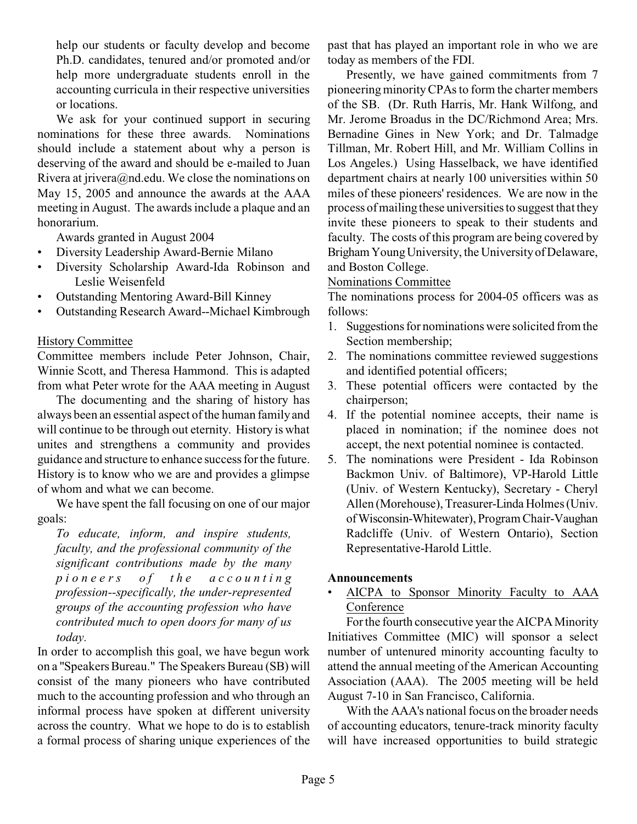help our students or faculty develop and become Ph.D. candidates, tenured and/or promoted and/or help more undergraduate students enroll in the accounting curricula in their respective universities or locations.

We ask for your continued support in securing nominations for these three awards. Nominations should include a statement about why a person is deserving of the award and should be e-mailed to Juan Rivera at jrivera@nd.edu. We close the nominations on May 15, 2005 and announce the awards at the AAA meeting in August. The awards include a plaque and an honorarium.

Awards granted in August 2004

- Diversity Leadership Award-Bernie Milano
- Diversity Scholarship Award-Ida Robinson and Leslie Weisenfeld
- Outstanding Mentoring Award-Bill Kinney
- Outstanding Research Award--Michael Kimbrough

### History Committee

Committee members include Peter Johnson, Chair, Winnie Scott, and Theresa Hammond. This is adapted from what Peter wrote for the AAA meeting in August

The documenting and the sharing of history has always been an essential aspect of the human family and will continue to be through out eternity. History is what unites and strengthens a community and provides guidance and structure to enhance success for the future. History is to know who we are and provides a glimpse of whom and what we can become.

We have spent the fall focusing on one of our major goals:

*To educate, inform, and inspire students, faculty, and the professional community of the significant contributions made by the many pionee r s o f t h e a c c o u n t i n g profession--specifically, the under-represented groups of the accounting profession who have contributed much to open doors for many of us today.*

In order to accomplish this goal, we have begun work on a "Speakers Bureau." The Speakers Bureau (SB) will consist of the many pioneers who have contributed much to the accounting profession and who through an informal process have spoken at different university across the country. What we hope to do is to establish a formal process of sharing unique experiences of the past that has played an important role in who we are today as members of the FDI.

Presently, we have gained commitments from 7 pioneering minority CPAs to form the charter members of the SB. (Dr. Ruth Harris, Mr. Hank Wilfong, and Mr. Jerome Broadus in the DC/Richmond Area; Mrs. Bernadine Gines in New York; and Dr. Talmadge Tillman, Mr. Robert Hill, and Mr. William Collins in Los Angeles.) Using Hasselback, we have identified department chairs at nearly 100 universities within 50 miles of these pioneers' residences. We are now in the process of mailing these universities to suggest that they invite these pioneers to speak to their students and faculty. The costs of this program are being covered by Brigham Young University, the University of Delaware, and Boston College.

#### Nominations Committee

The nominations process for 2004-05 officers was as follows:

- 1. Suggestions for nominations were solicited from the Section membership;
- 2. The nominations committee reviewed suggestions and identified potential officers;
- 3. These potential officers were contacted by the chairperson;
- 4. If the potential nominee accepts, their name is placed in nomination; if the nominee does not accept, the next potential nominee is contacted.
- 5. The nominations were President Ida Robinson Backmon Univ. of Baltimore), VP-Harold Little (Univ. of Western Kentucky), Secretary - Cheryl Allen (Morehouse), Treasurer-Linda Holmes (Univ. of Wisconsin-Whitewater), Program Chair-Vaughan Radcliffe (Univ. of Western Ontario), Section Representative-Harold Little.

### **Announcements**

• AICPA to Sponsor Minority Faculty to AAA Conference

For the fourth consecutive year the AICPA Minority Initiatives Committee (MIC) will sponsor a select number of untenured minority accounting faculty to attend the annual meeting of the American Accounting Association (AAA). The 2005 meeting will be held August 7-10 in San Francisco, California.

With the AAA's national focus on the broader needs of accounting educators, tenure-track minority faculty will have increased opportunities to build strategic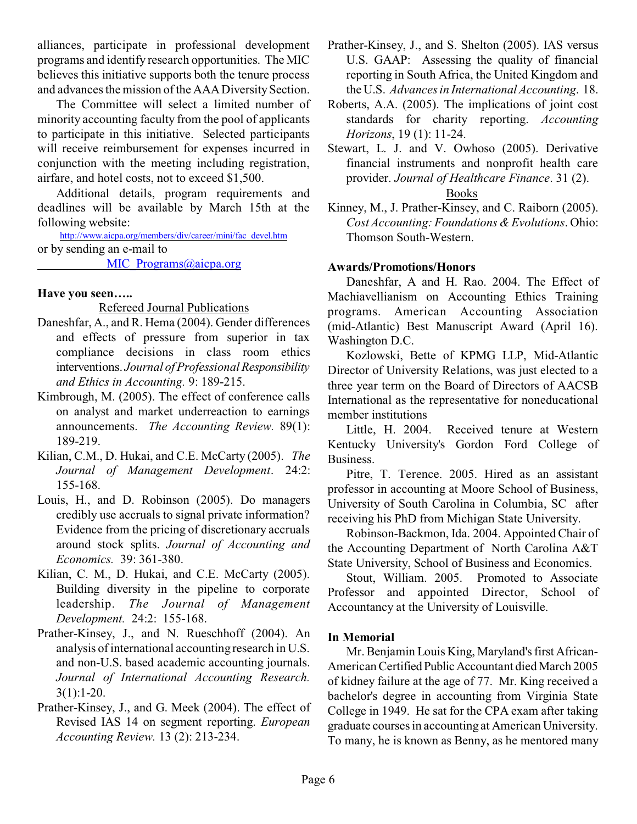alliances, participate in professional development programs and identify research opportunities. The MIC believes this initiative supports both the tenure process and advances the mission of the AAADiversity Section.

The Committee will select a limited number of minority accounting faculty from the pool of applicants to participate in this initiative. Selected participants will receive reimbursement for expenses incurred in conjunction with the meeting including registration, airfare, and hotel costs, not to exceed \$1,500.

Additional details, program requirements and deadlines will be available by March 15th at the following website:

[http://www.aicpa.org/members/div/career/mini/fac\\_devel.htm](http://www.aicpa.org/members/div/career/mini/fac_devel.htm) or by sending an e-mail to

MIC Programs@aicpa.org

### **Have you seen…..**

#### Refereed Journal Publications

- Daneshfar, A., and R. Hema (2004). Gender differences and effects of pressure from superior in tax compliance decisions in class room ethics interventions. *Journal of Professional Responsibility and Ethics in Accounting.* 9: 189-215.
- Kimbrough, M. (2005). The effect of conference calls on analyst and market underreaction to earnings announcements. *The Accounting Review.* 89(1): 189-219.
- Kilian, C.M., D. Hukai, and C.E. McCarty (2005). *The Journal of Management Development*. 24:2: 155-168.
- Louis, H., and D. Robinson (2005). Do managers credibly use accruals to signal private information? Evidence from the pricing of discretionary accruals around stock splits. *Journal of Accounting and Economics.* 39: 361-380.
- Kilian, C. M., D. Hukai, and C.E. McCarty (2005). Building diversity in the pipeline to corporate leadership. *The Journal of Management Development.* 24:2: 155-168.
- Prather-Kinsey, J., and N. Rueschhoff (2004). An analysis of international accounting research in U.S. and non-U.S. based academic accounting journals. *Journal of International Accounting Research.*  $3(1):1-20.$
- Prather-Kinsey, J., and G. Meek (2004). The effect of Revised IAS 14 on segment reporting. *European Accounting Review.* 13 (2): 213-234.
- Prather-Kinsey, J., and S. Shelton (2005). IAS versus U.S. GAAP: Assessing the quality of financial reporting in South Africa, the United Kingdom and the U.S. *Advances in International Accounting*. 18.
- Roberts, A.A. (2005). The implications of joint cost standards for charity reporting. *Accounting Horizons*, 19 (1): 11-24.
- Stewart, L. J. and V. Owhoso (2005). Derivative financial instruments and nonprofit health care provider. *Journal of Healthcare Finance*. 31 (2).

#### Books

Kinney, M., J. Prather-Kinsey, and C. Raiborn (2005). *Cost Accounting: Foundations & Evolutions*. Ohio: Thomson South-Western.

### **Awards/Promotions/Honors**

Daneshfar, A and H. Rao. 2004. The Effect of Machiavellianism on Accounting Ethics Training programs. American Accounting Association (mid-Atlantic) Best Manuscript Award (April 16). Washington D.C.

Kozlowski, Bette of KPMG LLP, Mid-Atlantic Director of University Relations, was just elected to a three year term on the Board of Directors of AACSB International as the representative for noneducational member institutions

Little, H. 2004. Received tenure at Western Kentucky University's Gordon Ford College of Business.

Pitre, T. Terence. 2005. Hired as an assistant professor in accounting at Moore School of Business, University of South Carolina in Columbia, SC after receiving his PhD from Michigan State University.

Robinson-Backmon, Ida. 2004. Appointed Chair of the Accounting Department of North Carolina A&T State University, School of Business and Economics.

Stout, William. 2005. Promoted to Associate Professor and appointed Director, School of Accountancy at the University of Louisville.

### **In Memorial**

Mr. Benjamin Louis King, Maryland's first African-American Certified Public Accountant died March 2005 of kidney failure at the age of 77. Mr. King received a bachelor's degree in accounting from Virginia State College in 1949. He sat for the CPA exam after taking graduate courses in accounting at American University. To many, he is known as Benny, as he mentored many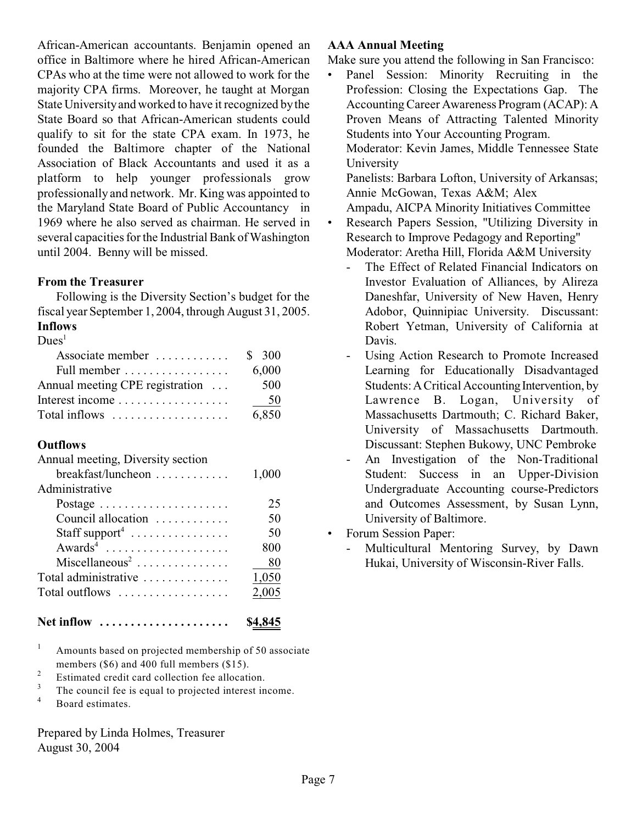African-American accountants. Benjamin opened an office in Baltimore where he hired African-American CPAs who at the time were not allowed to work for the majority CPA firms. Moreover, he taught at Morgan State University and worked to have it recognized by the State Board so that African-American students could qualify to sit for the state CPA exam. In 1973, he founded the Baltimore chapter of the National Association of Black Accountants and used it as a platform to help younger professionals grow professionally and network. Mr. King was appointed to the Maryland State Board of Public Accountancy in 1969 where he also served as chairman. He served in several capacities for the Industrial Bank of Washington until 2004. Benny will be missed.

### **From the Treasurer**

Following is the Diversity Section's budget for the fiscal year September 1, 2004, through August 31, 2005. **Inflows**

#### $Dues<sup>1</sup>$

| Associate member                                    | \$300 |
|-----------------------------------------------------|-------|
| Full member                                         | 6,000 |
| Annual meeting CPE registration                     | 500   |
| Interest income                                     | 50    |
| Total inflows $\dots\dots\dots\dots\dots\dots\dots$ | 6,850 |

## **Outflows**

| Annual meeting, Diversity section                   |       |
|-----------------------------------------------------|-------|
| breakfast/luncheon                                  | 1,000 |
| Administrative                                      |       |
| Postage $\ldots \ldots \ldots \ldots \ldots \ldots$ | 25    |
| Council allocation                                  | 50    |
| Staff support <sup>4</sup>                          | 50    |
| $Awards4$                                           | 800   |
| $Miscellaneous2$                                    | 80    |
| Total administrative                                | 1,050 |
| Total outflows                                      | 2,005 |
|                                                     |       |

- **Net inflow ..................... \$4,845**
- $\mu$  Amounts based on projected membership of 50 associate members (\$6) and 400 full members (\$15).
- Estimated credit card collection fee allocation. 2
- The council fee is equal to projected interest income. 3
- <sup>4</sup> Board estimates.

Prepared by Linda Holmes, Treasurer August 30, 2004

## **AAA Annual Meeting**

Make sure you attend the following in San Francisco:

• Panel Session: Minority Recruiting in the Profession: Closing the Expectations Gap. The Accounting Career Awareness Program (ACAP): A Proven Means of Attracting Talented Minority Students into Your Accounting Program. Moderator: Kevin James, Middle Tennessee State University Panelists: Barbara Lofton, University of Arkansas; Annie McGowan, Texas A&M; Alex

Ampadu, AICPA Minority Initiatives Committee

- Research Papers Session, "Utilizing Diversity in Research to Improve Pedagogy and Reporting" Moderator: Aretha Hill, Florida A&M University
	- The Effect of Related Financial Indicators on Investor Evaluation of Alliances, by Alireza Daneshfar, University of New Haven, Henry Adobor, Quinnipiac University. Discussant: Robert Yetman, University of California at Davis.
	- Using Action Research to Promote Increased Learning for Educationally Disadvantaged Students: A Critical Accounting Intervention, by Lawrence B. Logan, University of Massachusetts Dartmouth; C. Richard Baker, University of Massachusetts Dartmouth. Discussant: Stephen Bukowy, UNC Pembroke
	- An Investigation of the Non-Traditional Student: Success in an Upper-Division Undergraduate Accounting course-Predictors and Outcomes Assessment, by Susan Lynn, University of Baltimore.
- Forum Session Paper:
	- Multicultural Mentoring Survey, by Dawn Hukai, University of Wisconsin-River Falls.